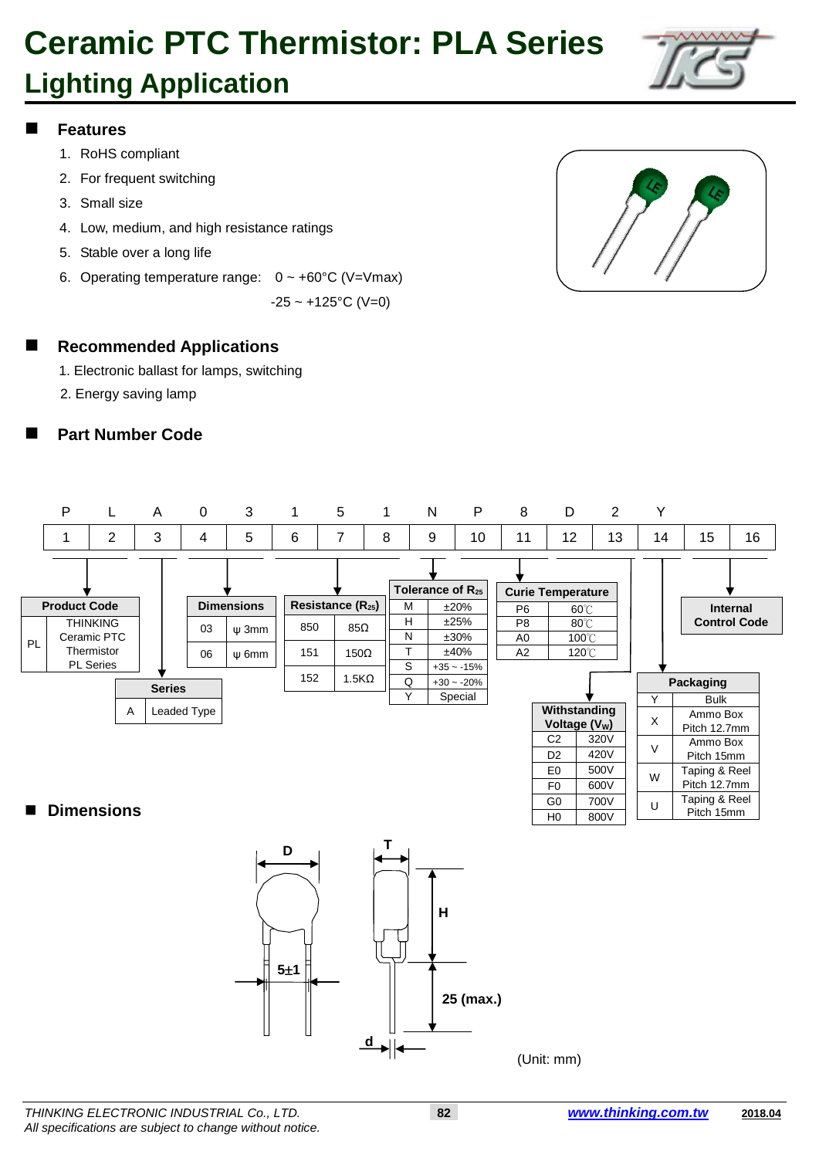

### **Features**

- 1. RoHS compliant
- 2. For frequent switching
- 3. Small size
- 4. Low, medium, and high resistance ratings
- 5. Stable over a long life
- 6. Operating temperature range:  $0 \sim +60^{\circ}$ C (V=Vmax)

 $-25 \sim +125$ °C (V=0)



#### **Recommended Applications**

- 1. Electronic ballast for lamps, switching
- 2. Energy saving lamp

### **Part Number Code**



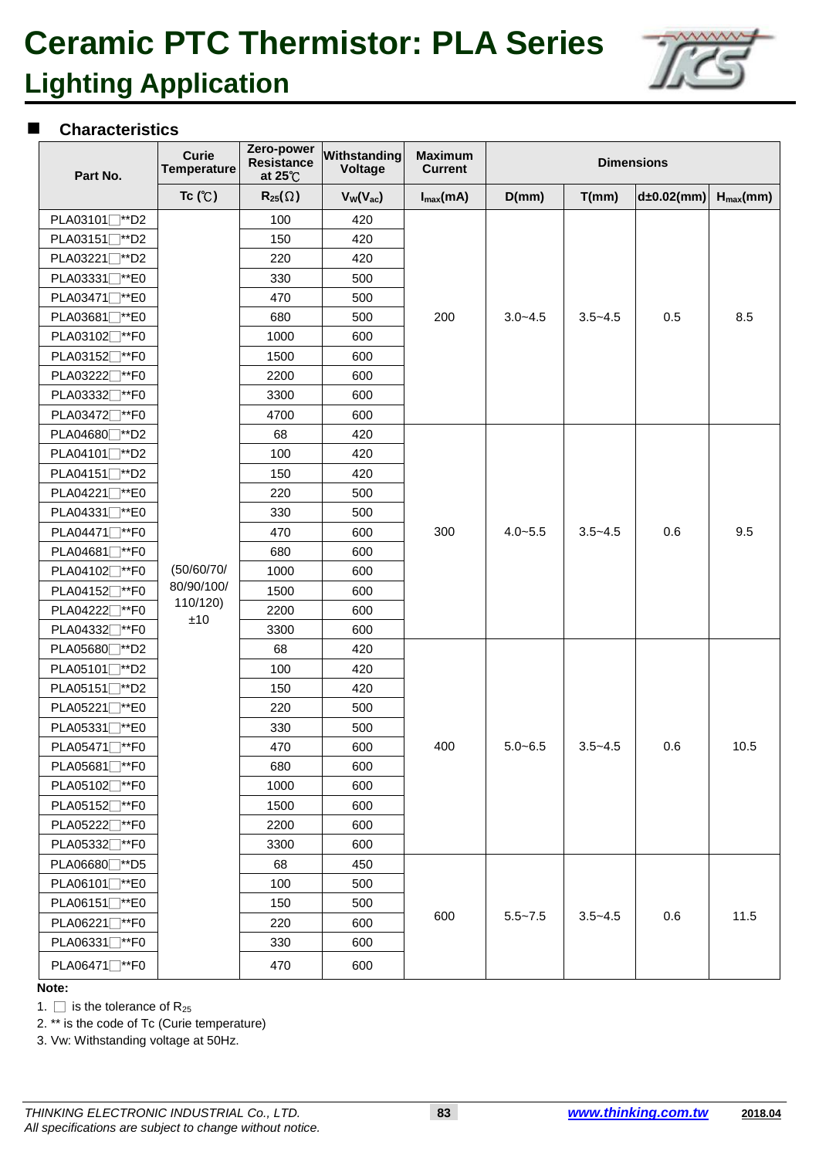

#### **Characteristics**

| Part No.                              | <b>Curie</b><br><b>Temperature</b> | Zero-power<br><b>Resistance</b><br>at $25^{\circ}$ C | Withstanding<br><b>Voltage</b> | <b>Maximum</b><br><b>Current</b> | <b>Dimensions</b> |             |               |               |
|---------------------------------------|------------------------------------|------------------------------------------------------|--------------------------------|----------------------------------|-------------------|-------------|---------------|---------------|
|                                       | Tc $(C)$                           | $R_{25}(\Omega)$                                     | $V_W(V_{ac})$                  | $I_{max}(mA)$                    | D(mm)             | T(mm)       | $d±0.02$ (mm) | $H_{max}(mm)$ |
| PLA03101 <sup>™</sup> D2              |                                    | 100                                                  | 420                            |                                  |                   |             |               |               |
| PLA03151 <sup>**</sup> D2             |                                    | 150                                                  | 420                            |                                  |                   |             |               |               |
| PLA03221 <sup>™</sup> D2              |                                    | 220                                                  | 420                            |                                  |                   |             |               |               |
| PLA03331 <sup>-*</sup> E0             |                                    | 330                                                  | 500                            |                                  |                   |             |               |               |
| PLA03471 <sup>™</sup> E0              |                                    | 470                                                  | 500                            |                                  |                   |             |               |               |
| PLA03681 <sup>™</sup> E0              |                                    | 680                                                  | 500                            | 200                              | $3.0 - 4.5$       | $3.5 - 4.5$ | 0.5           | 8.5           |
| PLA03102 <sup>™</sup> F0              |                                    | 1000                                                 | 600                            |                                  |                   |             |               |               |
| PLA03152 <sup>-</sup> *F0             |                                    | 1500                                                 | 600                            |                                  |                   |             |               |               |
| PLA03222 <sup>™</sup> F0              |                                    | 2200                                                 | 600                            |                                  |                   |             |               |               |
| PLA03332 <sup>**</sup> F0             |                                    | 3300                                                 | 600                            |                                  |                   |             |               |               |
| PLA03472 <sup>™</sup> F0              |                                    | 4700                                                 | 600                            |                                  |                   |             |               |               |
| PLA04680 <sup>**</sup> D2             |                                    | 68                                                   | 420                            |                                  |                   |             |               |               |
| PLA04101 <sup>-</sup> *D2             |                                    | 100                                                  | 420                            | 300                              | $4.0 - 5.5$       | $3.5 - 4.5$ | 0.6           | 9.5           |
| PLA04151 <sup><i>*</i>*D2</sup>       |                                    | 150                                                  | 420                            |                                  |                   |             |               |               |
| PLA04221 <sup>-</sup> *E0             |                                    | 220                                                  | 500                            |                                  |                   |             |               |               |
| PLA04331 <sup>™</sup> E0              |                                    | 330                                                  | 500                            |                                  |                   |             |               |               |
| PLA04471 <sup>™</sup> F0              |                                    | 470                                                  | 600                            |                                  |                   |             |               |               |
| PLA04681 <sub>1</sub> <sup>*</sup> F0 |                                    | 680                                                  | 600                            |                                  |                   |             |               |               |
| PLA04102 <sub>1</sub> <sup>*</sup> F0 | (50/60/70/                         | 1000                                                 | 600                            |                                  |                   |             |               |               |
| PLA04152 <sup>™</sup> F0              | 80/90/100/                         | 1500                                                 | 600                            |                                  |                   |             |               |               |
| PLA04222 <sup>™</sup> F0              | 110/120)<br>±10                    | 2200                                                 | 600                            |                                  |                   |             |               |               |
| PLA04332 <sup>™</sup> F0              |                                    | 3300                                                 | 600                            |                                  |                   |             |               |               |
| PLA05680 <sup>**</sup> D2             |                                    | 68                                                   | 420                            | 400                              | $5.0 - 6.5$       | $3.5 - 4.5$ | 0.6           | 10.5          |
| PLA05101 <sup>**</sup> D2             |                                    | 100                                                  | 420                            |                                  |                   |             |               |               |
| PLA05151 <sup>™</sup> D2              |                                    | 150                                                  | 420                            |                                  |                   |             |               |               |
| PLA05221 <sup>™</sup> E0              |                                    | 220                                                  | 500                            |                                  |                   |             |               |               |
| PLA05331 <sup>™</sup> E0              |                                    | 330                                                  | 500                            |                                  |                   |             |               |               |
| PLA05471 <sup>™</sup> F0              |                                    | 470                                                  | 600                            |                                  |                   |             |               |               |
| PLA05681 <sup>™</sup> F0              |                                    | 680                                                  | 600                            |                                  |                   |             |               |               |
| PLA05102 <sup>™</sup> F0              |                                    | 1000                                                 | 600                            |                                  |                   |             |               |               |
| PLA05152 <sup>*</sup> *F0             |                                    | 1500                                                 | 600                            |                                  |                   |             |               |               |
| PLA05222 <sup>™</sup> F0              |                                    | 2200                                                 | 600                            |                                  |                   |             |               |               |
| PLA05332 <sub>1</sub> <sup>*</sup> F0 |                                    | 3300                                                 | 600                            |                                  |                   |             |               |               |
| PLA06680 <sup>™</sup> D5              |                                    | 68                                                   | 450                            |                                  |                   | $3.5 - 4.5$ | 0.6           | 11.5          |
| PLA06101 <sup>™</sup> E0              |                                    | 100                                                  | 500                            |                                  |                   |             |               |               |
| PLA06151 <sup>™</sup> E0              |                                    | 150                                                  | 500                            |                                  |                   |             |               |               |
| PLA06221 <sup>™</sup> F0              |                                    | 220                                                  | 600                            | 600                              | $5.5 - 7.5$       |             |               |               |
| PLA06331 <sup>-</sup> *F0             |                                    | 330                                                  | 600                            |                                  |                   |             |               |               |
| PLA06471 <sup>™</sup> F0              |                                    | 470                                                  | 600                            |                                  |                   |             |               |               |

#### **Note:**

1.  $\Box$  is the tolerance of R<sub>25</sub>

2. \*\* is the code of Tc (Curie temperature)

3. Vw: Withstanding voltage at 50Hz.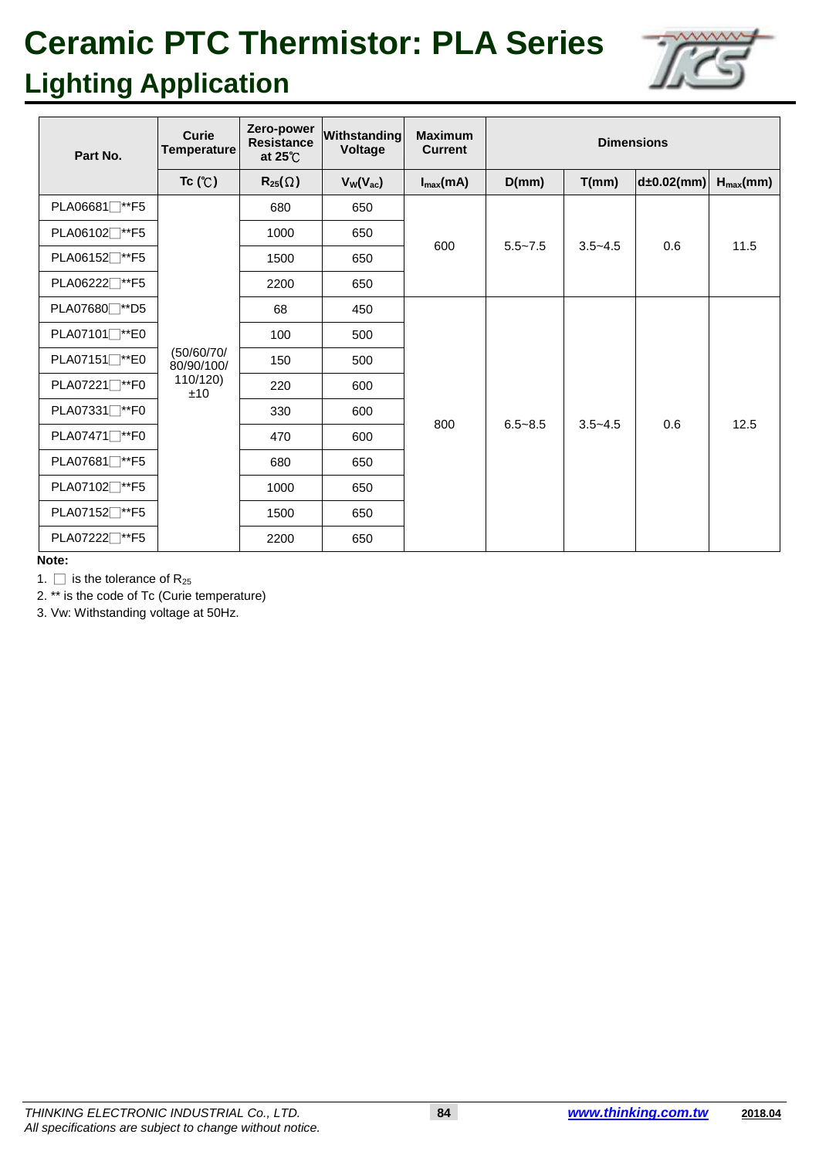

| Part No.                               | Curie<br><b>Temperature</b>                 | Zero-power<br><b>Resistance</b><br>at $25^{\circ}$ | Withstanding<br><b>Voltage</b> | <b>Maximum</b><br><b>Current</b> | <b>Dimensions</b> |             |                  |               |
|----------------------------------------|---------------------------------------------|----------------------------------------------------|--------------------------------|----------------------------------|-------------------|-------------|------------------|---------------|
|                                        | Tc (C)                                      | $R_{25}(\Omega)$                                   | $V_W(V_{ac})$                  | $I_{\text{max}}(mA)$             | D(mm)             | T(mm)       | $d\pm 0.02$ (mm) | $H_{max}(mm)$ |
| PLA06681 <sub>1</sub> <sup>*</sup> F5  |                                             | 680                                                | 650                            | 600                              | $5.5 - 7.5$       | $3.5 - 4.5$ | 0.6              | 11.5          |
| PLA06102 <sup>**</sup> F5              |                                             | 1000                                               | 650                            |                                  |                   |             |                  |               |
| PLA06152 <sup>**</sup> F5              |                                             | 1500                                               | 650                            |                                  |                   |             |                  |               |
| PLA06222 <sup>*</sup> F5               | (50/60/70/<br>80/90/100/<br>110/120)<br>±10 | 2200                                               | 650                            |                                  |                   |             |                  |               |
| PLA07680 <sup>-**</sup> D5             |                                             | 68                                                 | 450                            | 800                              | $6.5 - 8.5$       | $3.5 - 4.5$ | 0.6              | 12.5          |
| PLA07101 <sup>™</sup> E0               |                                             | 100                                                | 500                            |                                  |                   |             |                  |               |
| PLA07151□**E0                          |                                             | 150                                                | 500                            |                                  |                   |             |                  |               |
| PLA07221 <sup>™</sup> F0               |                                             | 220                                                | 600                            |                                  |                   |             |                  |               |
| PLA07331 <sup>-</sup> *F0              |                                             | 330                                                | 600                            |                                  |                   |             |                  |               |
| PLA07471 <sup>™</sup> F0               |                                             | 470                                                | 600                            |                                  |                   |             |                  |               |
| PLA07681 <sub>1</sub> <sup>**</sup> F5 |                                             | 680                                                | 650                            |                                  |                   |             |                  |               |
| PLA07102 <sup>™</sup> F5               |                                             | 1000                                               | 650                            |                                  |                   |             |                  |               |
| PLA07152 <sup>**</sup> F5              |                                             | 1500                                               | 650                            |                                  |                   |             |                  |               |
| PLA07222 <sup>**</sup> F5              |                                             | 2200                                               | 650                            |                                  |                   |             |                  |               |

**Note:**

1.  $\Box$  is the tolerance of R<sub>25</sub>

2. \*\* is the code of Tc (Curie temperature)

3. Vw: Withstanding voltage at 50Hz.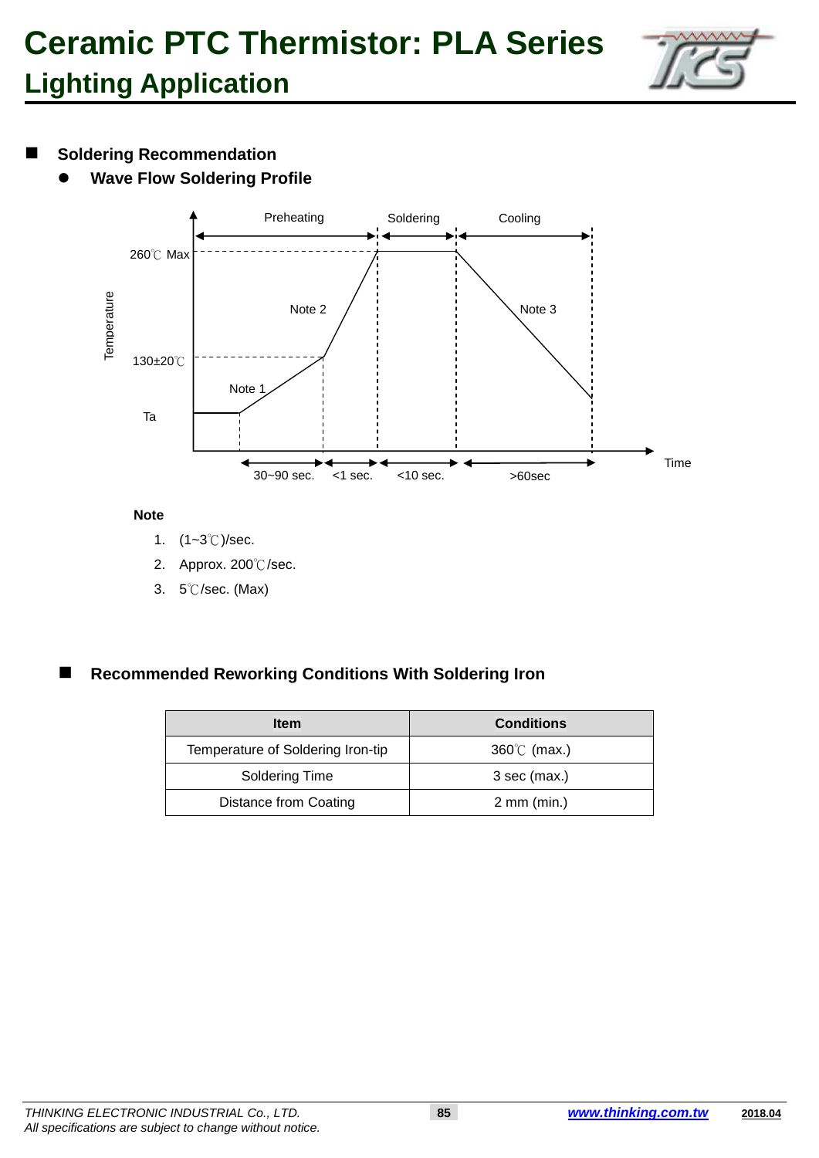

### $\blacksquare$  Soldering Recommendation

**Wave Flow Soldering Profile**



#### **Note**

- 1. (1~3℃)/sec.
- 2. Approx. 200℃/sec.
- 3. 5℃/sec. (Max)

### **Recommended Reworking Conditions With Soldering Iron**

| <b>Item</b>                       | <b>Conditions</b>       |
|-----------------------------------|-------------------------|
| Temperature of Soldering Iron-tip | $360^{\circ}$ (max.)    |
| Soldering Time                    | $3$ sec (max.)          |
| <b>Distance from Coating</b>      | $2 \, \text{mm}$ (min.) |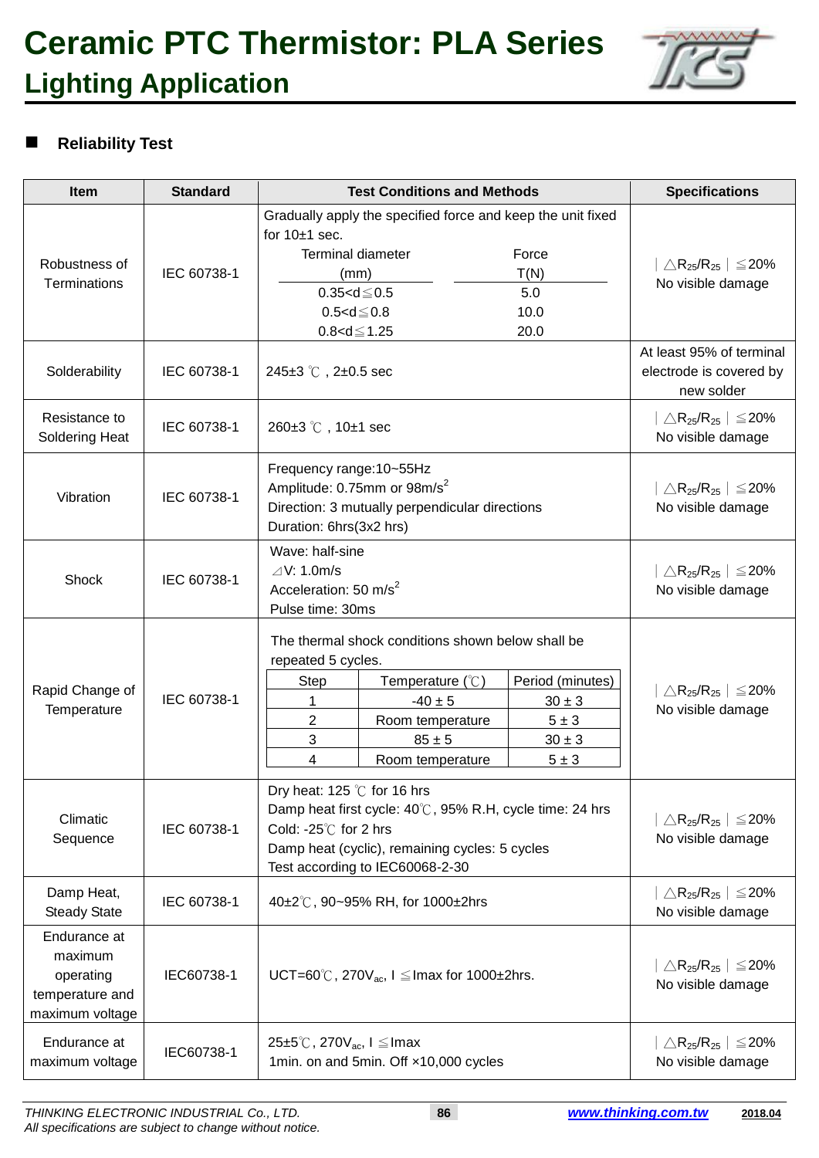

# **Reliability Test**

| Item                                                                       | <b>Standard</b> | <b>Test Conditions and Methods</b>                                                                                                                                                                                                                                                                    | <b>Specifications</b>                                                                  |
|----------------------------------------------------------------------------|-----------------|-------------------------------------------------------------------------------------------------------------------------------------------------------------------------------------------------------------------------------------------------------------------------------------------------------|----------------------------------------------------------------------------------------|
| Robustness of<br>Terminations                                              | IEC 60738-1     | Gradually apply the specified force and keep the unit fixed<br>for $10±1$ sec.<br><b>Terminal diameter</b><br>Force<br>T(N)<br>(mm)<br>$0.35 < d \le 0.5$<br>5.0<br>$0.5 < d \le 0.8$<br>10.0<br>$0.8 < d \le 1.25$<br>20.0                                                                           | $\triangle$ R <sub>25</sub> /R <sub>25</sub>   $\leq$ 20%<br>No visible damage         |
| Solderability                                                              | IEC 60738-1     | 245 $\pm$ 3 °C, 2 $\pm$ 0.5 sec                                                                                                                                                                                                                                                                       | At least 95% of terminal<br>electrode is covered by<br>new solder                      |
| Resistance to<br>Soldering Heat                                            | IEC 60738-1     | 260±3 ℃, 10±1 sec                                                                                                                                                                                                                                                                                     | $\triangle$ R <sub>25</sub> /R <sub>25</sub>   $\leq$ 20%<br>No visible damage         |
| Vibration                                                                  | IEC 60738-1     | Frequency range: 10~55Hz<br>Amplitude: 0.75mm or 98m/s <sup>2</sup><br>Direction: 3 mutually perpendicular directions<br>Duration: 6hrs(3x2 hrs)                                                                                                                                                      | $\triangle$ R <sub>25</sub> /R <sub>25</sub>   $\leq$ 20%<br>No visible damage         |
| Shock                                                                      | IEC 60738-1     | Wave: half-sine<br>$\triangle$ V: 1.0m/s<br>Acceleration: 50 m/s <sup>2</sup><br>Pulse time: 30ms                                                                                                                                                                                                     | $\triangle$ R <sub>25</sub> /R <sub>25</sub>   $\leq$ 20%<br>No visible damage         |
| Rapid Change of<br>Temperature                                             | IEC 60738-1     | The thermal shock conditions shown below shall be<br>repeated 5 cycles.<br>Period (minutes)<br><b>Step</b><br>Temperature $(\mathcal{C})$<br>$-40 \pm 5$<br>1<br>$30 \pm 3$<br>$\overline{c}$<br>$5 \pm 3$<br>Room temperature<br>3<br>$85 \pm 5$<br>$30 \pm 3$<br>4<br>$5 \pm 3$<br>Room temperature | $\mid \triangle \mathsf{R}_{25} / \mathsf{R}_{25} \mid \leq 20\%$<br>No visible damage |
| Climatic<br>Sequence                                                       | IEC 60738-1     | Dry heat: 125 $\degree$ C for 16 hrs<br>Damp heat first cycle: 40℃, 95% R.H, cycle time: 24 hrs<br>Cold: - $25^\circ$ C for 2 hrs<br>Damp heat (cyclic), remaining cycles: 5 cycles<br>Test according to IEC60068-2-30                                                                                | $\triangle$ R <sub>25</sub> /R <sub>25</sub>   $\leq$ 20%<br>No visible damage         |
| Damp Heat,<br><b>Steady State</b>                                          | IEC 60738-1     | 40±2℃, 90~95% RH, for 1000±2hrs                                                                                                                                                                                                                                                                       | $\triangle$ R <sub>25</sub> /R <sub>25</sub>   $\leq$ 20%<br>No visible damage         |
| Endurance at<br>maximum<br>operating<br>temperature and<br>maximum voltage | IEC60738-1      | UCT=60°C, 270 $V_{ac}$ , I $\leq$ Imax for 1000±2hrs.                                                                                                                                                                                                                                                 | $\triangle$ R <sub>25</sub> /R <sub>25</sub>   $\leq$ 20%<br>No visible damage         |
| Endurance at<br>maximum voltage                                            | IEC60738-1      | 25 $\pm$ 5°C, 270 $V_{\text{ac}}$ , I $\leq$ Imax<br>1min. on and 5min. Off x10,000 cycles                                                                                                                                                                                                            | $\triangle$ R <sub>25</sub> /R <sub>25</sub>   $\leq$ 20%<br>No visible damage         |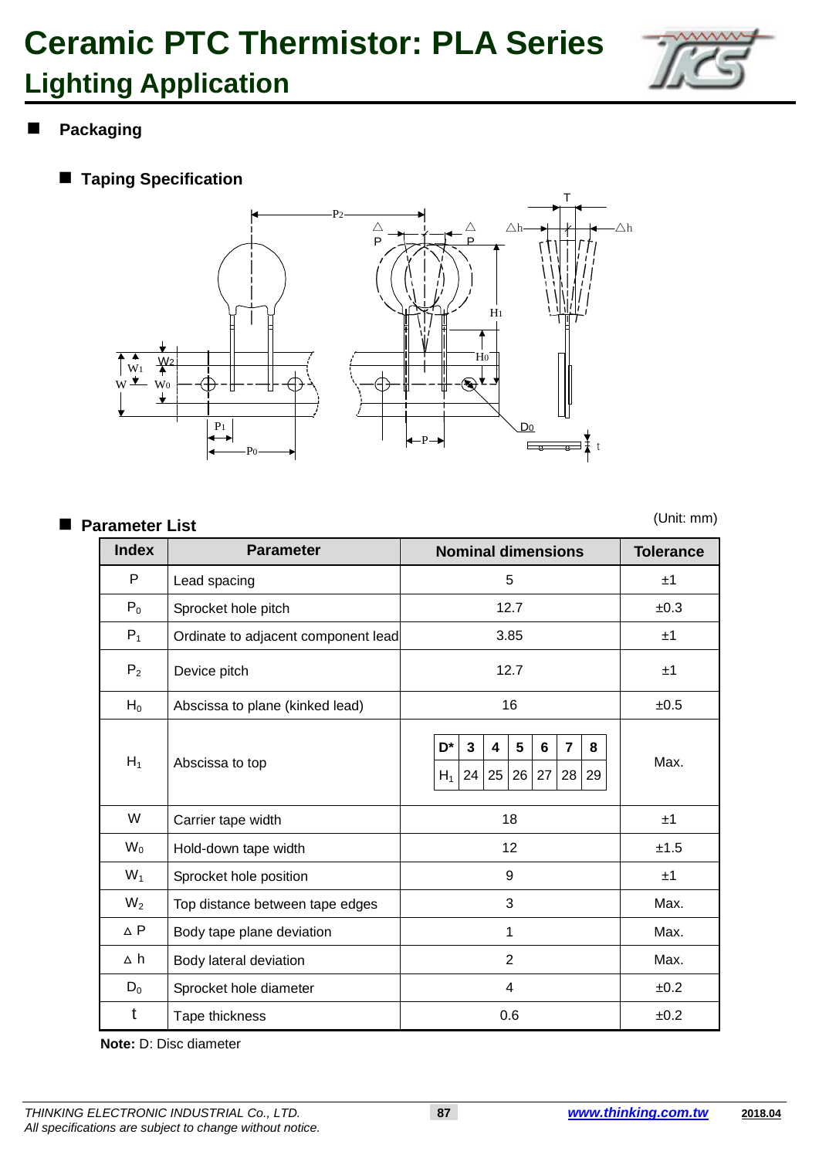

## **Packaging**

**Taping Specification**



#### **Parameter List**

(Unit: mm)

| <b>Index</b>   | <b>Parameter</b>                    | <b>Nominal dimensions</b>                                                               | <b>Tolerance</b> |
|----------------|-------------------------------------|-----------------------------------------------------------------------------------------|------------------|
| P              | Lead spacing                        | 5                                                                                       | ±1               |
| $P_0$          | Sprocket hole pitch                 | 12.7                                                                                    | ±0.3             |
| $P_1$          | Ordinate to adjacent component lead | 3.85                                                                                    | ±1               |
| P <sub>2</sub> | Device pitch                        | ±1                                                                                      |                  |
| $H_0$          | Abscissa to plane (kinked lead)     | ±0.5                                                                                    |                  |
| $H_1$          | Abscissa to top                     | D*<br>5<br>3<br>6<br>$\overline{7}$<br>8<br>4<br>26<br>24<br>25<br>27<br>28 29<br>$H_1$ | Max.             |
| W              | Carrier tape width                  | 18                                                                                      | ±1               |
| $W_0$          | Hold-down tape width                | 12                                                                                      | ±1.5             |
| $W_1$          | Sprocket hole position              | ±1                                                                                      |                  |
| $W_2$          | Top distance between tape edges     | Max.                                                                                    |                  |
| $\triangle$ P  | Body tape plane deviation           | Max.                                                                                    |                  |
| ∆ h            | Body lateral deviation              | Max.                                                                                    |                  |
| $D_0$          | Sprocket hole diameter              | ±0.2                                                                                    |                  |
| t              | Tape thickness                      | 0.6                                                                                     | ±0.2             |

**Note:** D: Disc diameter